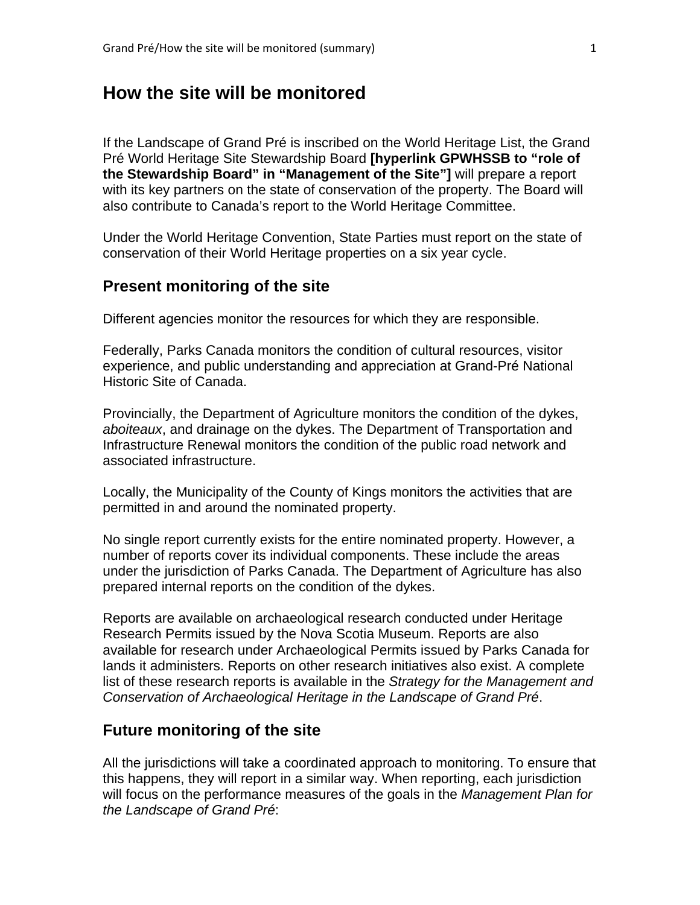# **How the site will be monitored**

If the Landscape of Grand Pré is inscribed on the World Heritage List, the Grand Pré World Heritage Site Stewardship Board **[hyperlink GPWHSSB to "role of the Stewardship Board" in "Management of the Site"]** will prepare a report with its key partners on the state of conservation of the property. The Board will also contribute to Canada's report to the World Heritage Committee.

Under the World Heritage Convention, State Parties must report on the state of conservation of their World Heritage properties on a six year cycle.

### **Present monitoring of the site**

Different agencies monitor the resources for which they are responsible.

Federally, Parks Canada monitors the condition of cultural resources, visitor experience, and public understanding and appreciation at Grand-Pré National Historic Site of Canada.

Provincially, the Department of Agriculture monitors the condition of the dykes, *aboiteaux*, and drainage on the dykes. The Department of Transportation and Infrastructure Renewal monitors the condition of the public road network and associated infrastructure.

Locally, the Municipality of the County of Kings monitors the activities that are permitted in and around the nominated property.

No single report currently exists for the entire nominated property. However, a number of reports cover its individual components. These include the areas under the jurisdiction of Parks Canada. The Department of Agriculture has also prepared internal reports on the condition of the dykes.

Reports are available on archaeological research conducted under Heritage Research Permits issued by the Nova Scotia Museum. Reports are also available for research under Archaeological Permits issued by Parks Canada for lands it administers. Reports on other research initiatives also exist. A complete list of these research reports is available in the *Strategy for the Management and Conservation of Archaeological Heritage in the Landscape of Grand Pré*.

## **Future monitoring of the site**

All the jurisdictions will take a coordinated approach to monitoring. To ensure that this happens, they will report in a similar way. When reporting, each jurisdiction will focus on the performance measures of the goals in the *Management Plan for the Landscape of Grand Pré*: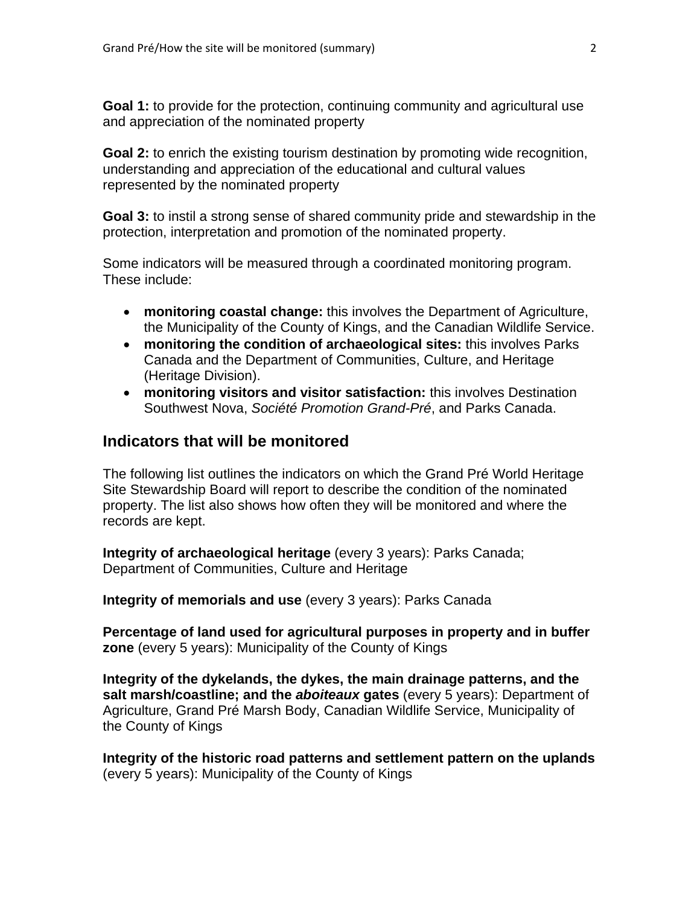**Goal 1:** to provide for the protection, continuing community and agricultural use and appreciation of the nominated property

**Goal 2:** to enrich the existing tourism destination by promoting wide recognition, understanding and appreciation of the educational and cultural values represented by the nominated property

**Goal 3:** to instil a strong sense of shared community pride and stewardship in the protection, interpretation and promotion of the nominated property.

Some indicators will be measured through a coordinated monitoring program. These include:

- **monitoring coastal change:** this involves the Department of Agriculture, the Municipality of the County of Kings, and the Canadian Wildlife Service.
- **monitoring the condition of archaeological sites:** this involves Parks Canada and the Department of Communities, Culture, and Heritage (Heritage Division).
- **monitoring visitors and visitor satisfaction:** this involves Destination Southwest Nova, *Société Promotion Grand-Pré*, and Parks Canada.

#### **Indicators that will be monitored**

The following list outlines the indicators on which the Grand Pré World Heritage Site Stewardship Board will report to describe the condition of the nominated property. The list also shows how often they will be monitored and where the records are kept.

**Integrity of archaeological heritage** (every 3 years): Parks Canada; Department of Communities, Culture and Heritage

**Integrity of memorials and use** (every 3 years): Parks Canada

**Percentage of land used for agricultural purposes in property and in buffer zone** (every 5 years): Municipality of the County of Kings

**Integrity of the dykelands, the dykes, the main drainage patterns, and the salt marsh/coastline; and the** *aboiteaux* **gates** (every 5 years): Department of Agriculture, Grand Pré Marsh Body, Canadian Wildlife Service, Municipality of the County of Kings

**Integrity of the historic road patterns and settlement pattern on the uplands** (every 5 years): Municipality of the County of Kings